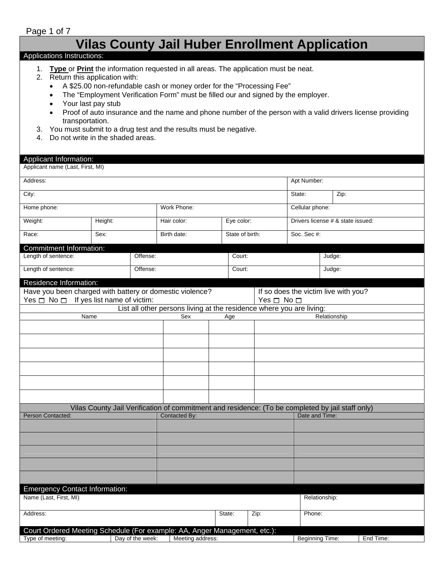## Page 1 of 7

# **Vilas County Jail Huber Enrollment Application**

#### Applications Instructions:

- 1. **Type** or **Print** the information requested in all areas. The application must be neat.
- 2. Return this application with:
	- A \$25.00 non-refundable cash or money order for the "Processing Fee"
	- The "Employment Verification Form" must be filled our and signed by the employer.
	- Your last pay stub
	- Proof of auto insurance and the name and phone number of the person with a valid drivers license providing transportation.
- 3. You must submit to a drug test and the results must be negative.
- 4. Do not write in the shaded areas.

#### Applicant Information:

| Applicant name (Last, First, MI)                                          |                                                                                                  |                  |               |                  |                                                                      |      |                      |                                      |              |           |  |
|---------------------------------------------------------------------------|--------------------------------------------------------------------------------------------------|------------------|---------------|------------------|----------------------------------------------------------------------|------|----------------------|--------------------------------------|--------------|-----------|--|
| Address:                                                                  |                                                                                                  |                  |               |                  |                                                                      |      |                      | Apt Number:                          |              |           |  |
| City:                                                                     |                                                                                                  |                  |               |                  |                                                                      |      |                      | State:                               | Zip:         |           |  |
| Home phone:                                                               |                                                                                                  |                  | Work Phone:   |                  |                                                                      |      |                      | Cellular phone:                      |              |           |  |
| Weight:                                                                   | Height:                                                                                          |                  | Hair color:   |                  | Eye color:                                                           |      |                      | Drivers license # & state issued:    |              |           |  |
| Race:                                                                     | Sex:                                                                                             |                  | Birth date:   |                  | State of birth:                                                      |      |                      | Soc. Sec #:                          |              |           |  |
| Commitment Information:                                                   |                                                                                                  |                  |               |                  |                                                                      |      |                      |                                      |              |           |  |
| Length of sentence:                                                       |                                                                                                  | Offense:         |               |                  | Court:                                                               |      |                      |                                      | Judge:       |           |  |
| Length of sentence:                                                       |                                                                                                  | Offense:         |               |                  | Court:                                                               |      |                      |                                      | Judge:       |           |  |
| Residence Information:                                                    |                                                                                                  |                  |               |                  |                                                                      |      |                      |                                      |              |           |  |
| Have you been charged with battery or domestic violence?                  |                                                                                                  |                  |               |                  |                                                                      |      |                      | If so does the victim live with you? |              |           |  |
| Yes $\Box$ No $\Box$ If yes list name of victim:                          |                                                                                                  |                  |               |                  |                                                                      |      | Yes $\Box$ No $\Box$ |                                      |              |           |  |
|                                                                           |                                                                                                  |                  |               |                  | List all other persons living at the residence where you are living: |      |                      |                                      |              |           |  |
| Name                                                                      |                                                                                                  |                  |               | Sex              | Age                                                                  |      |                      |                                      | Relationship |           |  |
|                                                                           |                                                                                                  |                  |               |                  |                                                                      |      |                      |                                      |              |           |  |
|                                                                           |                                                                                                  |                  |               |                  |                                                                      |      |                      |                                      |              |           |  |
|                                                                           |                                                                                                  |                  |               |                  |                                                                      |      |                      |                                      |              |           |  |
|                                                                           |                                                                                                  |                  |               |                  |                                                                      |      |                      |                                      |              |           |  |
|                                                                           |                                                                                                  |                  |               |                  |                                                                      |      |                      |                                      |              |           |  |
|                                                                           |                                                                                                  |                  |               |                  |                                                                      |      |                      |                                      |              |           |  |
|                                                                           | Vilas County Jail Verification of commitment and residence: (To be completed by jail staff only) |                  |               |                  |                                                                      |      |                      |                                      |              |           |  |
| Person Contacted:                                                         |                                                                                                  |                  | Contacted By: |                  |                                                                      |      |                      | Date and Time:                       |              |           |  |
|                                                                           |                                                                                                  |                  |               |                  |                                                                      |      |                      |                                      |              |           |  |
|                                                                           |                                                                                                  |                  |               |                  |                                                                      |      |                      |                                      |              |           |  |
|                                                                           |                                                                                                  |                  |               |                  |                                                                      |      |                      |                                      |              |           |  |
|                                                                           |                                                                                                  |                  |               |                  |                                                                      |      |                      |                                      |              |           |  |
|                                                                           |                                                                                                  |                  |               |                  |                                                                      |      |                      |                                      |              |           |  |
|                                                                           |                                                                                                  |                  |               |                  |                                                                      |      |                      |                                      |              |           |  |
| <b>Emergency Contact Information:</b><br>Name (Last, First, MI)           |                                                                                                  |                  |               |                  |                                                                      |      |                      | Relationship:                        |              |           |  |
| Address:                                                                  |                                                                                                  |                  |               |                  | State:                                                               | Zip: |                      | Phone:                               |              |           |  |
|                                                                           |                                                                                                  |                  |               |                  |                                                                      |      |                      |                                      |              |           |  |
| Court Ordered Meeting Schedule (For example: AA, Anger Management, etc.): |                                                                                                  |                  |               |                  |                                                                      |      |                      |                                      |              |           |  |
| Type of meeting:                                                          |                                                                                                  | Day of the week: |               | Meeting address: |                                                                      |      |                      | Beginning Time:                      |              | End Time: |  |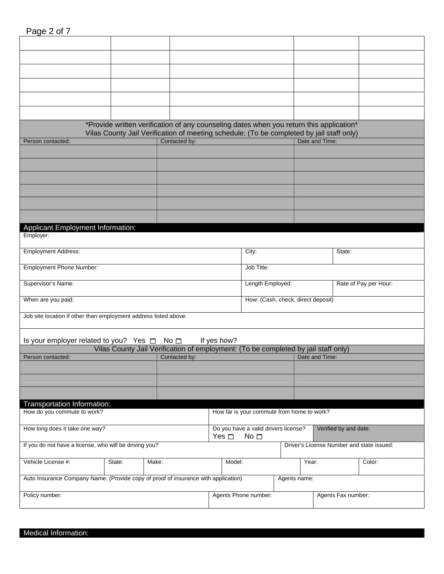| Page 2 of 7 |  |  |
|-------------|--|--|
|             |  |  |

|                                                                                    |        | *Provide written verification of any counseling dates when you return this application*<br>Vilas County Jail Verification of meeting schedule: (To be completed by jail staff only) |             |                      |                                            |                       |                                           |
|------------------------------------------------------------------------------------|--------|-------------------------------------------------------------------------------------------------------------------------------------------------------------------------------------|-------------|----------------------|--------------------------------------------|-----------------------|-------------------------------------------|
| Person contacted:                                                                  |        | Contacted by:                                                                                                                                                                       |             |                      |                                            | Date and Time:        |                                           |
|                                                                                    |        |                                                                                                                                                                                     |             |                      |                                            |                       |                                           |
|                                                                                    |        |                                                                                                                                                                                     |             |                      |                                            |                       |                                           |
|                                                                                    |        |                                                                                                                                                                                     |             |                      |                                            |                       |                                           |
|                                                                                    |        |                                                                                                                                                                                     |             |                      |                                            |                       |                                           |
|                                                                                    |        |                                                                                                                                                                                     |             |                      |                                            |                       |                                           |
|                                                                                    |        |                                                                                                                                                                                     |             |                      |                                            |                       |                                           |
| Applicant Employment Information:                                                  |        |                                                                                                                                                                                     |             |                      |                                            |                       |                                           |
| Employer:                                                                          |        |                                                                                                                                                                                     |             |                      |                                            |                       |                                           |
| <b>Employment Address:</b>                                                         |        |                                                                                                                                                                                     |             | City:                |                                            | State:                |                                           |
| Employment Phone Number:                                                           |        |                                                                                                                                                                                     |             | Job Title:           |                                            |                       |                                           |
| Supervisor's Name:                                                                 |        |                                                                                                                                                                                     |             | Length Employed:     |                                            |                       | Rate of Pay per Hour:                     |
| When are you paid:                                                                 |        |                                                                                                                                                                                     |             |                      | How: (Cash, check, direct deposit)         |                       |                                           |
| Job site location if other than employment address listed above:                   |        |                                                                                                                                                                                     |             |                      |                                            |                       |                                           |
| Is your employer related to you? Yes $\Box$ No $\Box$                              |        |                                                                                                                                                                                     | If yes how? |                      |                                            |                       |                                           |
|                                                                                    |        | Vilas County Jail Verification of employment: (To be completed by jail staff only)                                                                                                  |             |                      |                                            |                       |                                           |
| Person contacted:                                                                  |        | Contacted by:                                                                                                                                                                       |             |                      |                                            | Date and Time:        |                                           |
|                                                                                    |        |                                                                                                                                                                                     |             |                      |                                            |                       |                                           |
|                                                                                    |        |                                                                                                                                                                                     |             |                      |                                            |                       |                                           |
|                                                                                    |        |                                                                                                                                                                                     |             |                      |                                            |                       |                                           |
| Transportation Information:<br>How do you commute to work?                         |        |                                                                                                                                                                                     |             |                      | How far is your commute from home to work? |                       |                                           |
| How long does it take one way?                                                     |        |                                                                                                                                                                                     |             |                      | Do you have a valid drivers license?       | Verified by and date: |                                           |
|                                                                                    |        |                                                                                                                                                                                     | Yes $\Box$  | No <sub>1</sub>      |                                            |                       |                                           |
| If you do not have a license, who will be driving you?                             |        |                                                                                                                                                                                     |             |                      |                                            |                       | Driver's License Number and state issued: |
| Vehicle License #:                                                                 | State: | Make:                                                                                                                                                                               | Model:      |                      | Year:                                      |                       | Color:                                    |
| Auto Insurance Company Name: (Provide copy of proof of insurance with application) |        |                                                                                                                                                                                     |             |                      | Agents name:                               |                       |                                           |
| Policy number:                                                                     |        |                                                                                                                                                                                     |             | Agents Phone number: |                                            | Agents Fax number:    |                                           |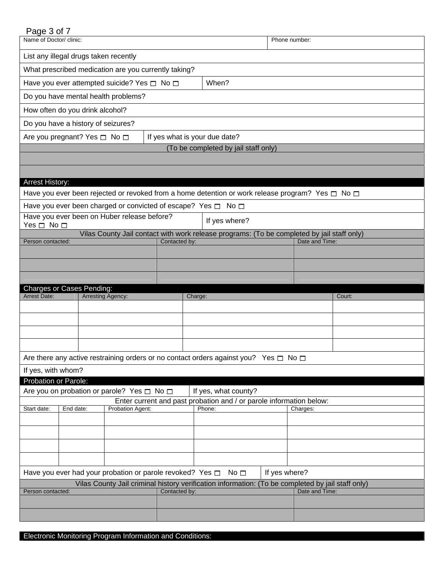## Page 3 of 7

| Name of Doctor/ clinic:                    |                                                                         |                  |                               |                                                                                                                  | Phone number: |                |  |
|--------------------------------------------|-------------------------------------------------------------------------|------------------|-------------------------------|------------------------------------------------------------------------------------------------------------------|---------------|----------------|--|
|                                            | List any illegal drugs taken recently                                   |                  |                               |                                                                                                                  |               |                |  |
|                                            | What prescribed medication are you currently taking?                    |                  |                               |                                                                                                                  |               |                |  |
|                                            | Have you ever attempted suicide? Yes $\Box$ No $\Box$                   |                  |                               | When?                                                                                                            |               |                |  |
|                                            | Do you have mental health problems?                                     |                  |                               |                                                                                                                  |               |                |  |
|                                            | How often do you drink alcohol?                                         |                  |                               |                                                                                                                  |               |                |  |
|                                            | Do you have a history of seizures?                                      |                  |                               |                                                                                                                  |               |                |  |
|                                            | Are you pregnant? Yes □ No □                                            |                  | If yes what is your due date? |                                                                                                                  |               |                |  |
|                                            |                                                                         |                  |                               | (To be completed by jail staff only)                                                                             |               |                |  |
|                                            |                                                                         |                  |                               |                                                                                                                  |               |                |  |
| <b>Arrest History:</b>                     |                                                                         |                  |                               |                                                                                                                  |               |                |  |
|                                            |                                                                         |                  |                               | Have you ever been rejected or revoked from a home detention or work release program? Yes $\square$ No $\square$ |               |                |  |
|                                            | Have you ever been charged or convicted of escape? Yes $\Box$ No $\Box$ |                  |                               |                                                                                                                  |               |                |  |
| Yes $\Box$ No $\Box$                       | Have you ever been on Huber release before?                             |                  |                               | If yes where?                                                                                                    |               |                |  |
|                                            |                                                                         |                  |                               | Vilas County Jail contact with work release programs: (To be completed by jail staff only)                       |               |                |  |
| Person contacted:                          |                                                                         |                  | Contacted by:                 |                                                                                                                  |               | Date and Time: |  |
|                                            |                                                                         |                  |                               |                                                                                                                  |               |                |  |
|                                            |                                                                         |                  |                               |                                                                                                                  |               |                |  |
|                                            |                                                                         |                  |                               |                                                                                                                  |               |                |  |
|                                            | <b>Charges or Cases Pending:</b>                                        |                  |                               |                                                                                                                  |               |                |  |
| <b>Arrest Date:</b>                        | Arresting Agency:                                                       |                  | Charge:                       |                                                                                                                  |               | Court:         |  |
|                                            |                                                                         |                  |                               |                                                                                                                  |               |                |  |
|                                            |                                                                         |                  |                               |                                                                                                                  |               |                |  |
|                                            |                                                                         |                  |                               |                                                                                                                  |               |                |  |
|                                            |                                                                         |                  |                               |                                                                                                                  |               |                |  |
|                                            |                                                                         |                  |                               | Are there any active restraining orders or no contact orders against you? Yes $\Box$ No $\Box$                   |               |                |  |
| If yes, with whom?<br>Probation or Parole: |                                                                         |                  |                               |                                                                                                                  |               |                |  |
|                                            | Are you on probation or parole? Yes □ No □                              |                  |                               | If yes, what county?                                                                                             |               |                |  |
|                                            |                                                                         |                  |                               | Enter current and past probation and / or parole information below:                                              |               |                |  |
| Start date:                                | End date:                                                               | Probation Agent: |                               | Phone:                                                                                                           |               | Charges:       |  |
|                                            |                                                                         |                  |                               |                                                                                                                  |               |                |  |
|                                            |                                                                         |                  |                               |                                                                                                                  |               |                |  |
|                                            |                                                                         |                  |                               |                                                                                                                  |               |                |  |
|                                            |                                                                         |                  |                               | No $\square$                                                                                                     |               |                |  |
|                                            | Have you ever had your probation or parole revoked? Yes $\Box$          |                  |                               | Vilas County Jail criminal history verification information: (To be completed by jail staff only)                | If yes where? |                |  |
| Person contacted:                          |                                                                         |                  | Contacted by:                 |                                                                                                                  |               | Date and Time: |  |
|                                            |                                                                         |                  |                               |                                                                                                                  |               |                |  |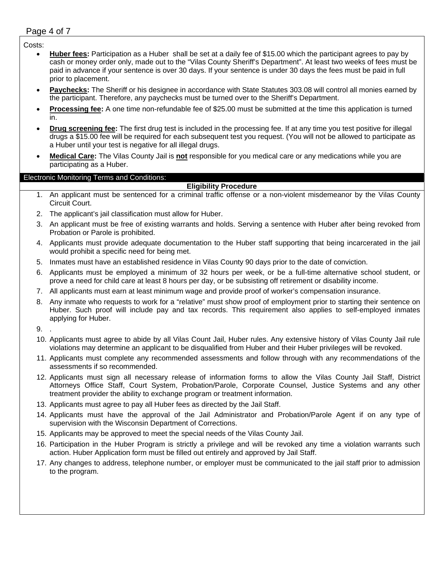# Page 4 of 7

## Costs:

- **Huber fees:** Participation as a Huber shall be set at a daily fee of \$15.00 which the participant agrees to pay by cash or money order only, made out to the "Vilas County Sheriff's Department". At least two weeks of fees must be paid in advance if your sentence is over 30 days. If your sentence is under 30 days the fees must be paid in full prior to placement.
- **Paychecks:** The Sheriff or his designee in accordance with State Statutes 303.08 will control all monies earned by the participant. Therefore, any paychecks must be turned over to the Sheriff's Department.
- **Processing fee:** A one time non-refundable fee of \$25.00 must be submitted at the time this application is turned in.
- **Drug screening fee:** The first drug test is included in the processing fee. If at any time you test positive for illegal drugs a \$15.00 fee will be required for each subsequent test you request. (You will not be allowed to participate as a Huber until your test is negative for all illegal drugs.
- **Medical Care:** The Vilas County Jail is **not** responsible for you medical care or any medications while you are participating as a Huber.

## Electronic Monitoring Terms and Conditions:

## **Eligibility Procedure**

- 1. An applicant must be sentenced for a criminal traffic offense or a non-violent misdemeanor by the Vilas County Circuit Court.
- 2. The applicant's jail classification must allow for Huber.
- 3. An applicant must be free of existing warrants and holds. Serving a sentence with Huber after being revoked from Probation or Parole is prohibited.
- 4. Applicants must provide adequate documentation to the Huber staff supporting that being incarcerated in the jail would prohibit a specific need for being met.
- 5. Inmates must have an established residence in Vilas County 90 days prior to the date of conviction.
- 6. Applicants must be employed a minimum of 32 hours per week, or be a full-time alternative school student, or prove a need for child care at least 8 hours per day, or be subsisting off retirement or disability income.
- 7. All applicants must earn at least minimum wage and provide proof of worker's compensation insurance.
- 8. Any inmate who requests to work for a "relative" must show proof of employment prior to starting their sentence on Huber. Such proof will include pay and tax records. This requirement also applies to self-employed inmates applying for Huber.
- 9. .
- 10. Applicants must agree to abide by all Vilas Count Jail, Huber rules. Any extensive history of Vilas County Jail rule violations may determine an applicant to be disqualified from Huber and their Huber privileges will be revoked.
- 11. Applicants must complete any recommended assessments and follow through with any recommendations of the assessments if so recommended.
- 12. Applicants must sign all necessary release of information forms to allow the Vilas County Jail Staff, District Attorneys Office Staff, Court System, Probation/Parole, Corporate Counsel, Justice Systems and any other treatment provider the ability to exchange program or treatment information.
- 13. Applicants must agree to pay all Huber fees as directed by the Jail Staff.
- 14. Applicants must have the approval of the Jail Administrator and Probation/Parole Agent if on any type of supervision with the Wisconsin Department of Corrections.
- 15. Applicants may be approved to meet the special needs of the Vilas County Jail.
- 16. Participation in the Huber Program is strictly a privilege and will be revoked any time a violation warrants such action. Huber Application form must be filled out entirely and approved by Jail Staff.
- 17. Any changes to address, telephone number, or employer must be communicated to the jail staff prior to admission to the program.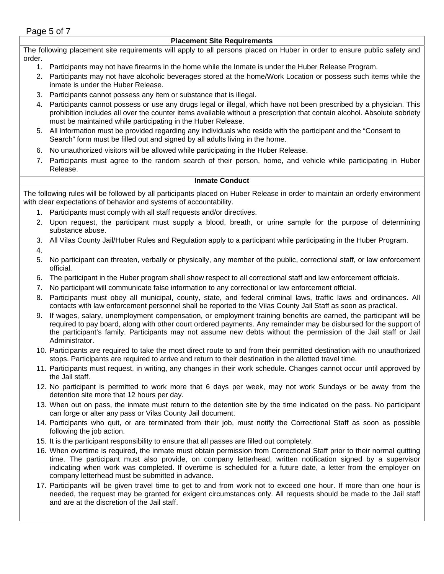### **Placement Site Requirements**

The following placement site requirements will apply to all persons placed on Huber in order to ensure public safety and order.

- 1. Participants may not have firearms in the home while the Inmate is under the Huber Release Program.
- 2. Participants may not have alcoholic beverages stored at the home/Work Location or possess such items while the inmate is under the Huber Release.
- 3. Participants cannot possess any item or substance that is illegal.
- 4. Participants cannot possess or use any drugs legal or illegal, which have not been prescribed by a physician. This prohibition includes all over the counter items available without a prescription that contain alcohol. Absolute sobriety must be maintained while participating in the Huber Release.
- 5. All information must be provided regarding any individuals who reside with the participant and the "Consent to Search" form must be filled out and signed by all adults living in the home.
- 6. No unauthorized visitors will be allowed while participating in the Huber Release.
- 7. Participants must agree to the random search of their person, home, and vehicle while participating in Huber Release.

#### **Inmate Conduct**

The following rules will be followed by all participants placed on Huber Release in order to maintain an orderly environment with clear expectations of behavior and systems of accountability.

- 1. Participants must comply with all staff requests and/or directives.
- 2. Upon request, the participant must supply a blood, breath, or urine sample for the purpose of determining substance abuse.
- 3. All Vilas County Jail/Huber Rules and Regulation apply to a participant while participating in the Huber Program.
- 4.
- 5. No participant can threaten, verbally or physically, any member of the public, correctional staff, or law enforcement official.
- 6. The participant in the Huber program shall show respect to all correctional staff and law enforcement officials.
- 7. No participant will communicate false information to any correctional or law enforcement official.
- 8. Participants must obey all municipal, county, state, and federal criminal laws, traffic laws and ordinances. All contacts with law enforcement personnel shall be reported to the Vilas County Jail Staff as soon as practical.
- 9. If wages, salary, unemployment compensation, or employment training benefits are earned, the participant will be required to pay board, along with other court ordered payments. Any remainder may be disbursed for the support of the participant's family. Participants may not assume new debts without the permission of the Jail staff or Jail Administrator.
- 10. Participants are required to take the most direct route to and from their permitted destination with no unauthorized stops. Participants are required to arrive and return to their destination in the allotted travel time.
- 11. Participants must request, in writing, any changes in their work schedule. Changes cannot occur until approved by the Jail staff.
- 12. No participant is permitted to work more that 6 days per week, may not work Sundays or be away from the detention site more that 12 hours per day.
- 13. When out on pass, the inmate must return to the detention site by the time indicated on the pass. No participant can forge or alter any pass or Vilas County Jail document.
- 14. Participants who quit, or are terminated from their job, must notify the Correctional Staff as soon as possible following the job action.
- 15. It is the participant responsibility to ensure that all passes are filled out completely.
- 16. When overtime is required, the inmate must obtain permission from Correctional Staff prior to their normal quitting time. The participant must also provide, on company letterhead, written notification signed by a supervisor indicating when work was completed. If overtime is scheduled for a future date, a letter from the employer on company letterhead must be submitted in advance.
- 17. Participants will be given travel time to get to and from work not to exceed one hour. If more than one hour is needed, the request may be granted for exigent circumstances only. All requests should be made to the Jail staff and are at the discretion of the Jail staff.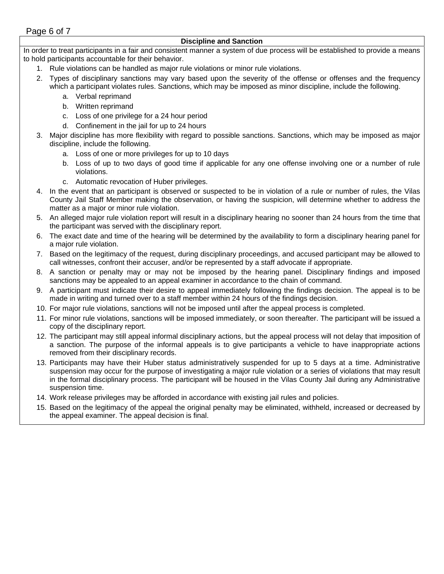## **Discipline and Sanction**

In order to treat participants in a fair and consistent manner a system of due process will be established to provide a means to hold participants accountable for their behavior.

- 1. Rule violations can be handled as major rule violations or minor rule violations.
- 2. Types of disciplinary sanctions may vary based upon the severity of the offense or offenses and the frequency which a participant violates rules. Sanctions, which may be imposed as minor discipline, include the following.
	- a. Verbal reprimand
	- b. Written reprimand
	- c. Loss of one privilege for a 24 hour period
	- d. Confinement in the jail for up to 24 hours
- 3. Major discipline has more flexibility with regard to possible sanctions. Sanctions, which may be imposed as major discipline, include the following.
	- a. Loss of one or more privileges for up to 10 days
	- b. Loss of up to two days of good time if applicable for any one offense involving one or a number of rule violations.
	- c. Automatic revocation of Huber privileges.
- 4. In the event that an participant is observed or suspected to be in violation of a rule or number of rules, the Vilas County Jail Staff Member making the observation, or having the suspicion, will determine whether to address the matter as a major or minor rule violation.
- 5. An alleged major rule violation report will result in a disciplinary hearing no sooner than 24 hours from the time that the participant was served with the disciplinary report.
- 6. The exact date and time of the hearing will be determined by the availability to form a disciplinary hearing panel for a major rule violation.
- 7. Based on the legitimacy of the request, during disciplinary proceedings, and accused participant may be allowed to call witnesses, confront their accuser, and/or be represented by a staff advocate if appropriate.
- 8. A sanction or penalty may or may not be imposed by the hearing panel. Disciplinary findings and imposed sanctions may be appealed to an appeal examiner in accordance to the chain of command.
- 9. A participant must indicate their desire to appeal immediately following the findings decision. The appeal is to be made in writing and turned over to a staff member within 24 hours of the findings decision.
- 10. For major rule violations, sanctions will not be imposed until after the appeal process is completed.
- 11. For minor rule violations, sanctions will be imposed immediately, or soon thereafter. The participant will be issued a copy of the disciplinary report.
- 12. The participant may still appeal informal disciplinary actions, but the appeal process will not delay that imposition of a sanction. The purpose of the informal appeals is to give participants a vehicle to have inappropriate actions removed from their disciplinary records.
- 13. Participants may have their Huber status administratively suspended for up to 5 days at a time. Administrative suspension may occur for the purpose of investigating a major rule violation or a series of violations that may result in the formal disciplinary process. The participant will be housed in the Vilas County Jail during any Administrative suspension time.
- 14. Work release privileges may be afforded in accordance with existing jail rules and policies.
- 15. Based on the legitimacy of the appeal the original penalty may be eliminated, withheld, increased or decreased by the appeal examiner. The appeal decision is final.